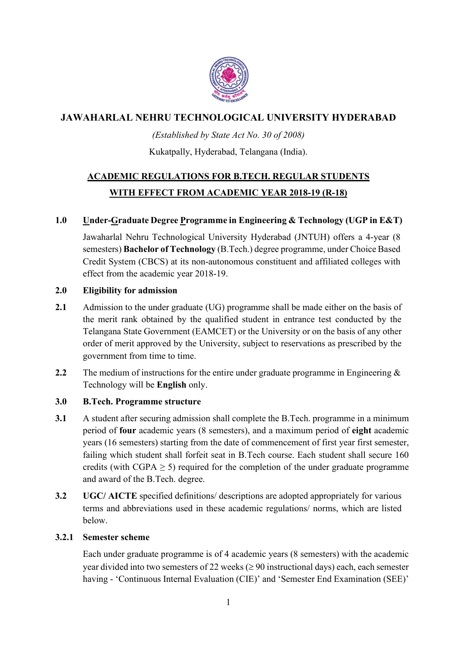

## JAWAHARLAL NEHRU TECHNOLOGICAL UNIVERSITY HYDERABAD

### (Established by State Act No. 30 of 2008)

### Kukatpally, Hyderabad, Telangana (India).

# ACADEMIC REGULATIONS FOR B.TECH. REGULAR STUDENTS WITH EFFECT FROM ACADEMIC YEAR 2018-19 (R-18)

### 1.0 Under-Graduate Degree Programme in Engineering & Technology (UGP in E&T)

 Jawaharlal Nehru Technological University Hyderabad (JNTUH) offers a 4-year (8 semesters) Bachelor of Technology (B.Tech.) degree programme, under Choice Based Credit System (CBCS) at its non-autonomous constituent and affiliated colleges with effect from the academic year 2018-19.

### 2.0 Eligibility for admission

- 2.1 Admission to the under graduate (UG) programme shall be made either on the basis of the merit rank obtained by the qualified student in entrance test conducted by the Telangana State Government (EAMCET) or the University or on the basis of any other order of merit approved by the University, subject to reservations as prescribed by the government from time to time.
- 2.2 The medium of instructions for the entire under graduate programme in Engineering  $\&$ Technology will be English only.

### 3.0 B.Tech. Programme structure

- 3.1 A student after securing admission shall complete the B.Tech. programme in a minimum period of four academic years (8 semesters), and a maximum period of eight academic years (16 semesters) starting from the date of commencement of first year first semester, failing which student shall forfeit seat in B.Tech course. Each student shall secure 160 credits (with  $CGPA > 5$ ) required for the completion of the under graduate programme and award of the B.Tech. degree.
- 3.2 UGC/ AICTE specified definitions/ descriptions are adopted appropriately for various terms and abbreviations used in these academic regulations/ norms, which are listed below.

### 3.2.1 Semester scheme

Each under graduate programme is of 4 academic years (8 semesters) with the academic year divided into two semesters of 22 weeks ( $\geq$  90 instructional days) each, each semester having - 'Continuous Internal Evaluation (CIE)' and 'Semester End Examination (SEE)'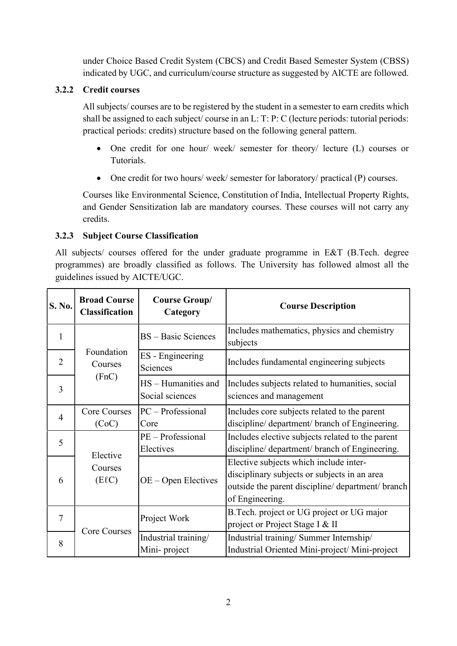under Choice Based Credit System (CBCS) and Credit Based Semester System (CBSS) indicated by UGC, and curriculum/course structure as suggested by AICTE are followed.

### 3.2.2 Credit courses

All subjects/ courses are to be registered by the student in a semester to earn credits which shall be assigned to each subject/ course in an L: T: P: C (lecture periods: tutorial periods: practical periods: credits) structure based on the following general pattern.

- One credit for one hour/ week/ semester for theory/ lecture (L) courses or Tutorials.
- One credit for two hours/ week/ semester for laboratory/ practical (P) courses.

Courses like Environmental Science, Constitution of India, Intellectual Property Rights, and Gender Sensitization lab are mandatory courses. These courses will not carry any credits.

### 3.2.3 Subject Course Classification

All subjects/ courses offered for the under graduate programme in E&T (B.Tech. degree programmes) are broadly classified as follows. The University has followed almost all the guidelines issued by AICTE/UGC.

| S. No.         | <b>Broad Course</b><br><b>Classification</b> | <b>Course Group/</b><br>Category       | <b>Course Description</b>                                                                                                                                      |
|----------------|----------------------------------------------|----------------------------------------|----------------------------------------------------------------------------------------------------------------------------------------------------------------|
| 1              |                                              | <b>BS</b> – Basic Sciences             | Includes mathematics, physics and chemistry<br>subjects                                                                                                        |
| $\overline{2}$ | Foundation<br>Courses                        | ES - Engineering<br>Sciences           | Includes fundamental engineering subjects                                                                                                                      |
| 3              | (FnC)                                        | HS - Humanities and<br>Social sciences | Includes subjects related to humanities, social<br>sciences and management                                                                                     |
| $\overline{4}$ | <b>Core Courses</b><br>(CoC)                 | $PC - Professional$<br>Core            | Includes core subjects related to the parent<br>discipline/ department/ branch of Engineering.                                                                 |
| 5              |                                              | PE - Professional<br>Electives         | Includes elective subjects related to the parent<br>discipline/ department/ branch of Engineering.                                                             |
| 6              | Elective<br>Courses<br>$(E\ell C)$           | $OE - Open Electro$                    | Elective subjects which include inter-<br>disciplinary subjects or subjects in an area<br>outside the parent discipline/ department/ branch<br>of Engineering. |
| $\overline{7}$ |                                              | Project Work                           | B. Tech. project or UG project or UG major<br>project or Project Stage I & II                                                                                  |
| 8              | Core Courses                                 | Industrial training/<br>Mini-project   | Industrial training/ Summer Internship/<br>Industrial Oriented Mini-project/ Mini-project                                                                      |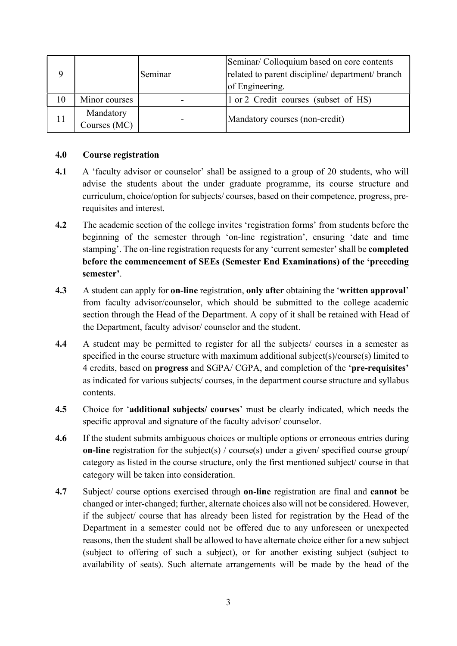|    |                           | Seminar | Seminar/ Colloquium based on core contents<br>related to parent discipline/ department/ branch<br>of Engineering. |
|----|---------------------------|---------|-------------------------------------------------------------------------------------------------------------------|
| 10 | Minor courses             |         | 1 or 2 Credit courses (subset of HS)                                                                              |
| 11 | Mandatory<br>Courses (MC) |         | Mandatory courses (non-credit)                                                                                    |

#### 4.0 Course registration

- 4.1 A 'faculty advisor or counselor' shall be assigned to a group of 20 students, who will advise the students about the under graduate programme, its course structure and curriculum, choice/option for subjects/ courses, based on their competence, progress, prerequisites and interest.
- 4.2 The academic section of the college invites 'registration forms' from students before the beginning of the semester through 'on-line registration', ensuring 'date and time stamping'. The on-line registration requests for any 'current semester' shall be completed before the commencement of SEEs (Semester End Examinations) of the 'preceding semester'.
- 4.3 A student can apply for **on-line** registration, **only after** obtaining the 'written approval' from faculty advisor/counselor, which should be submitted to the college academic section through the Head of the Department. A copy of it shall be retained with Head of the Department, faculty advisor/ counselor and the student.
- 4.4 A student may be permitted to register for all the subjects/ courses in a semester as specified in the course structure with maximum additional subject(s)/course(s) limited to 4 credits, based on progress and SGPA/ CGPA, and completion of the 'pre-requisites' as indicated for various subjects/ courses, in the department course structure and syllabus contents.
- 4.5 Choice for 'additional subjects/ courses' must be clearly indicated, which needs the specific approval and signature of the faculty advisor/ counselor.
- 4.6 If the student submits ambiguous choices or multiple options or erroneous entries during on-line registration for the subject(s) / course(s) under a given/ specified course group/ category as listed in the course structure, only the first mentioned subject/ course in that category will be taken into consideration.
- 4.7 Subject/ course options exercised through on-line registration are final and cannot be changed or inter-changed; further, alternate choices also will not be considered. However, if the subject/ course that has already been listed for registration by the Head of the Department in a semester could not be offered due to any unforeseen or unexpected reasons, then the student shall be allowed to have alternate choice either for a new subject (subject to offering of such a subject), or for another existing subject (subject to availability of seats). Such alternate arrangements will be made by the head of the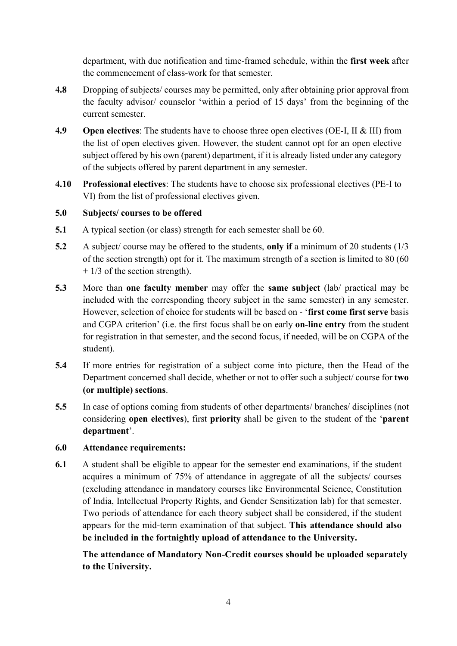department, with due notification and time-framed schedule, within the first week after the commencement of class-work for that semester.

- 4.8 Dropping of subjects/ courses may be permitted, only after obtaining prior approval from the faculty advisor/ counselor 'within a period of 15 days' from the beginning of the current semester.
- 4.9 Open electives: The students have to choose three open electives (OE-I, II & III) from the list of open electives given. However, the student cannot opt for an open elective subject offered by his own (parent) department, if it is already listed under any category of the subjects offered by parent department in any semester.
- 4.10 Professional electives: The students have to choose six professional electives (PE-I to VI) from the list of professional electives given.

### 5.0 Subjects/ courses to be offered

- 5.1 A typical section (or class) strength for each semester shall be 60.
- 5.2 A subject/ course may be offered to the students, only if a minimum of 20 students (1/3 of the section strength) opt for it. The maximum strength of a section is limited to 80 (60  $+$  1/3 of the section strength).
- 5.3 More than one faculty member may offer the same subject (lab/ practical may be included with the corresponding theory subject in the same semester) in any semester. However, selection of choice for students will be based on - 'first come first serve basis and CGPA criterion' (i.e. the first focus shall be on early on-line entry from the student for registration in that semester, and the second focus, if needed, will be on CGPA of the student).
- 5.4 If more entries for registration of a subject come into picture, then the Head of the Department concerned shall decide, whether or not to offer such a subject/ course for two (or multiple) sections.
- 5.5 In case of options coming from students of other departments/ branches/ disciplines (not considering open electives), first priority shall be given to the student of the 'parent department'.

### 6.0 Attendance requirements:

6.1 A student shall be eligible to appear for the semester end examinations, if the student acquires a minimum of 75% of attendance in aggregate of all the subjects/ courses (excluding attendance in mandatory courses like Environmental Science, Constitution of India, Intellectual Property Rights, and Gender Sensitization lab) for that semester. Two periods of attendance for each theory subject shall be considered, if the student appears for the mid-term examination of that subject. This attendance should also be included in the fortnightly upload of attendance to the University.

The attendance of Mandatory Non-Credit courses should be uploaded separately to the University.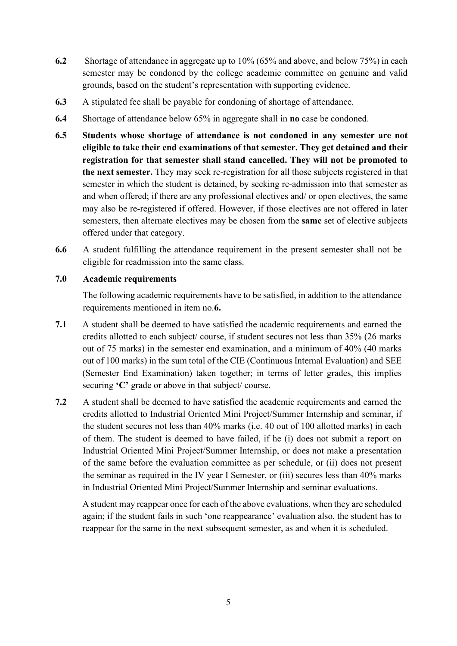- 6.2 Shortage of attendance in aggregate up to 10% (65% and above, and below 75%) in each semester may be condoned by the college academic committee on genuine and valid grounds, based on the student's representation with supporting evidence.
- 6.3 A stipulated fee shall be payable for condoning of shortage of attendance.
- 6.4 Shortage of attendance below 65% in aggregate shall in no case be condoned.
- 6.5 Students whose shortage of attendance is not condoned in any semester are not eligible to take their end examinations of that semester. They get detained and their registration for that semester shall stand cancelled. They will not be promoted to the next semester. They may seek re-registration for all those subjects registered in that semester in which the student is detained, by seeking re-admission into that semester as and when offered; if there are any professional electives and/ or open electives, the same may also be re-registered if offered. However, if those electives are not offered in later semesters, then alternate electives may be chosen from the same set of elective subjects offered under that category.
- 6.6 A student fulfilling the attendance requirement in the present semester shall not be eligible for readmission into the same class.

#### 7.0 Academic requirements

The following academic requirements have to be satisfied, in addition to the attendance requirements mentioned in item no.6.

- 7.1 A student shall be deemed to have satisfied the academic requirements and earned the credits allotted to each subject/ course, if student secures not less than 35% (26 marks out of 75 marks) in the semester end examination, and a minimum of 40% (40 marks out of 100 marks) in the sum total of the CIE (Continuous Internal Evaluation) and SEE (Semester End Examination) taken together; in terms of letter grades, this implies securing 'C' grade or above in that subject/ course.
- 7.2 A student shall be deemed to have satisfied the academic requirements and earned the credits allotted to Industrial Oriented Mini Project/Summer Internship and seminar, if the student secures not less than 40% marks (i.e. 40 out of 100 allotted marks) in each of them. The student is deemed to have failed, if he (i) does not submit a report on Industrial Oriented Mini Project/Summer Internship, or does not make a presentation of the same before the evaluation committee as per schedule, or (ii) does not present the seminar as required in the IV year I Semester, or (iii) secures less than 40% marks in Industrial Oriented Mini Project/Summer Internship and seminar evaluations.

A student may reappear once for each of the above evaluations, when they are scheduled again; if the student fails in such 'one reappearance' evaluation also, the student has to reappear for the same in the next subsequent semester, as and when it is scheduled.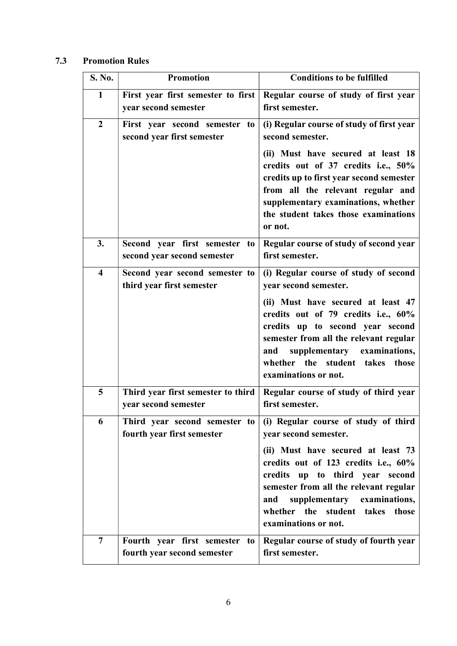## 7.3 Promotion Rules

| S. No.              | <b>Promotion</b>                                             | <b>Conditions to be fulfilled</b>                                                                                                                                                                                                                                                                                            |
|---------------------|--------------------------------------------------------------|------------------------------------------------------------------------------------------------------------------------------------------------------------------------------------------------------------------------------------------------------------------------------------------------------------------------------|
| 1                   | First year first semester to first<br>year second semester   | Regular course of study of first year<br>first semester.                                                                                                                                                                                                                                                                     |
| $\overline{2}$      | First year second semester to<br>second year first semester  | (i) Regular course of study of first year<br>second semester.<br>(ii) Must have secured at least 18<br>credits out of 37 credits i.e., 50%<br>credits up to first year second semester<br>from all the relevant regular and<br>supplementary examinations, whether<br>the student takes those examinations<br>or not.        |
| 3.                  | Second year first semester to<br>second year second semester | Regular course of study of second year<br>first semester.                                                                                                                                                                                                                                                                    |
| $\overline{\bf{4}}$ | Second year second semester to<br>third year first semester  | (i) Regular course of study of second<br>year second semester.<br>(ii) Must have secured at least 47<br>credits out of 79 credits i.e., 60%<br>credits up to second year second<br>semester from all the relevant regular<br>supplementary examinations,<br>and<br>whether the student takes those<br>examinations or not.   |
| 5                   | Third year first semester to third<br>year second semester   | Regular course of study of third year<br>first semester.                                                                                                                                                                                                                                                                     |
| 6                   | Third year second semester to<br>fourth year first semester  | (i) Regular course of study of third<br>year second semester.<br>(ii) Must have secured at least 73<br>credits out of 123 credits i.e., 60%<br>credits up to third year second<br>semester from all the relevant regular<br>supplementary<br>examinations,<br>and<br>whether the student takes those<br>examinations or not. |
| $\overline{7}$      | Fourth year first semester to<br>fourth year second semester | Regular course of study of fourth year<br>first semester.                                                                                                                                                                                                                                                                    |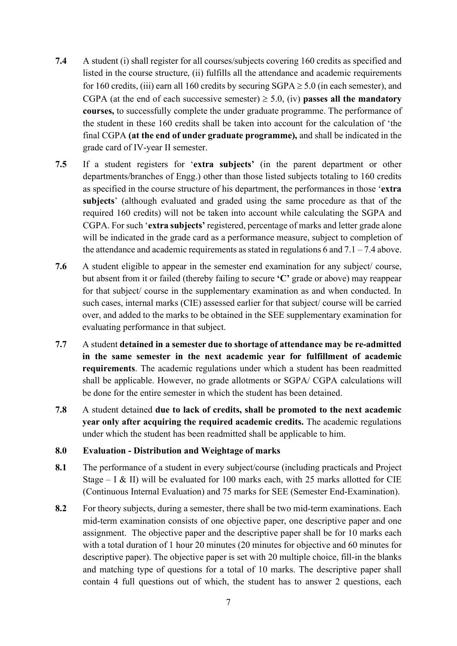- 7.4 A student (i) shall register for all courses/subjects covering 160 credits as specified and listed in the course structure, (ii) fulfills all the attendance and academic requirements for 160 credits, (iii) earn all 160 credits by securing  $SGPA \ge 5.0$  (in each semester), and CGPA (at the end of each successive semester)  $\geq$  5.0, (iv) passes all the mandatory courses, to successfully complete the under graduate programme. The performance of the student in these 160 credits shall be taken into account for the calculation of 'the final CGPA (at the end of under graduate programme), and shall be indicated in the grade card of IV-year II semester.
- 7.5 If a student registers for 'extra subjects' (in the parent department or other departments/branches of Engg.) other than those listed subjects totaling to 160 credits as specified in the course structure of his department, the performances in those 'extra subjects' (although evaluated and graded using the same procedure as that of the required 160 credits) will not be taken into account while calculating the SGPA and CGPA. For such 'extra subjects' registered, percentage of marks and letter grade alone will be indicated in the grade card as a performance measure, subject to completion of the attendance and academic requirements as stated in regulations 6 and  $7.1 - 7.4$  above.
- 7.6 A student eligible to appear in the semester end examination for any subject/ course, but absent from it or failed (thereby failing to secure 'C' grade or above) may reappear for that subject/ course in the supplementary examination as and when conducted. In such cases, internal marks (CIE) assessed earlier for that subject/ course will be carried over, and added to the marks to be obtained in the SEE supplementary examination for evaluating performance in that subject.
- 7.7 A student detained in a semester due to shortage of attendance may be re-admitted in the same semester in the next academic year for fulfillment of academic requirements. The academic regulations under which a student has been readmitted shall be applicable. However, no grade allotments or SGPA/ CGPA calculations will be done for the entire semester in which the student has been detained.
- 7.8 A student detained due to lack of credits, shall be promoted to the next academic year only after acquiring the required academic credits. The academic regulations under which the student has been readmitted shall be applicable to him.

### 8.0 Evaluation - Distribution and Weightage of marks

- 8.1 The performance of a student in every subject/course (including practicals and Project Stage – I & II) will be evaluated for 100 marks each, with 25 marks allotted for CIE (Continuous Internal Evaluation) and 75 marks for SEE (Semester End-Examination).
- 8.2 For theory subjects, during a semester, there shall be two mid-term examinations. Each mid-term examination consists of one objective paper, one descriptive paper and one assignment. The objective paper and the descriptive paper shall be for 10 marks each with a total duration of 1 hour 20 minutes (20 minutes for objective and 60 minutes for descriptive paper). The objective paper is set with 20 multiple choice, fill-in the blanks and matching type of questions for a total of 10 marks. The descriptive paper shall contain 4 full questions out of which, the student has to answer 2 questions, each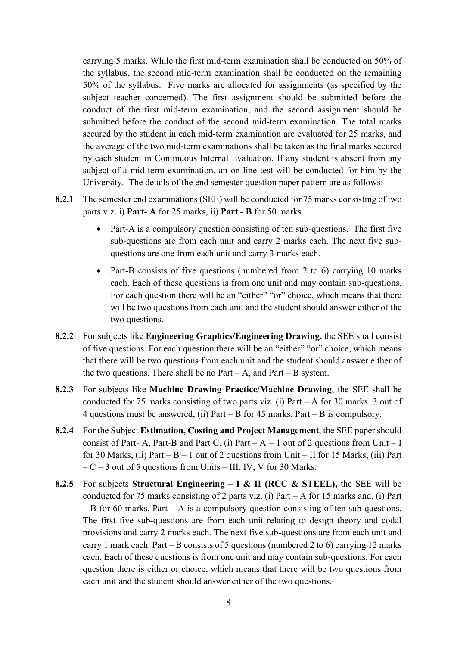carrying 5 marks. While the first mid-term examination shall be conducted on 50% of the syllabus, the second mid-term examination shall be conducted on the remaining 50% of the syllabus. Five marks are allocated for assignments (as specified by the subject teacher concerned). The first assignment should be submitted before the conduct of the first mid-term examination, and the second assignment should be submitted before the conduct of the second mid-term examination. The total marks secured by the student in each mid-term examination are evaluated for 25 marks, and the average of the two mid-term examinations shall be taken as the final marks secured by each student in Continuous Internal Evaluation. If any student is absent from any subject of a mid-term examination, an on-line test will be conducted for him by the University. The details of the end semester question paper pattern are as follows:

- 8.2.1 The semester end examinations (SEE) will be conducted for 75 marks consisting of two parts viz. i) Part- A for 25 marks, ii) Part - B for 50 marks.
	- Part-A is a compulsory question consisting of ten sub-questions. The first five sub-questions are from each unit and carry 2 marks each. The next five subquestions are one from each unit and carry 3 marks each.
	- Part-B consists of five questions (numbered from 2 to 6) carrying 10 marks each. Each of these questions is from one unit and may contain sub-questions. For each question there will be an "either" "or" choice, which means that there will be two questions from each unit and the student should answer either of the two questions.
- 8.2.2 For subjects like Engineering Graphics/Engineering Drawing, the SEE shall consist of five questions. For each question there will be an "either" "or" choice, which means that there will be two questions from each unit and the student should answer either of the two questions. There shall be no  $Part - A$ , and  $Part - B$  system.
- 8.2.3 For subjects like Machine Drawing Practice/Machine Drawing, the SEE shall be conducted for 75 marks consisting of two parts viz. (i) Part – A for 30 marks. 3 out of 4 questions must be answered, (ii) Part – B for 45 marks. Part – B is compulsory.
- 8.2.4 For the Subject Estimation, Costing and Project Management, the SEE paper should consist of Part- A, Part-B and Part C. (i) Part  $-A-1$  out of 2 questions from Unit  $-I$ for 30 Marks, (ii) Part –  $B - 1$  out of 2 questions from Unit – II for 15 Marks, (iii) Part  $-C-3$  out of 5 questions from Units – III, IV, V for 30 Marks.
- 8.2.5 For subjects Structural Engineering I & II (RCC & STEEL), the SEE will be conducted for 75 marks consisting of 2 parts viz. (i) Part – A for 15 marks and, (i) Part – B for 60 marks. Part – A is a compulsory question consisting of ten sub-questions. The first five sub-questions are from each unit relating to design theory and codal provisions and carry 2 marks each. The next five sub-questions are from each unit and carry 1 mark each. Part – B consists of 5 questions (numbered 2 to 6) carrying 12 marks each. Each of these questions is from one unit and may contain sub-questions. For each question there is either or choice, which means that there will be two questions from each unit and the student should answer either of the two questions.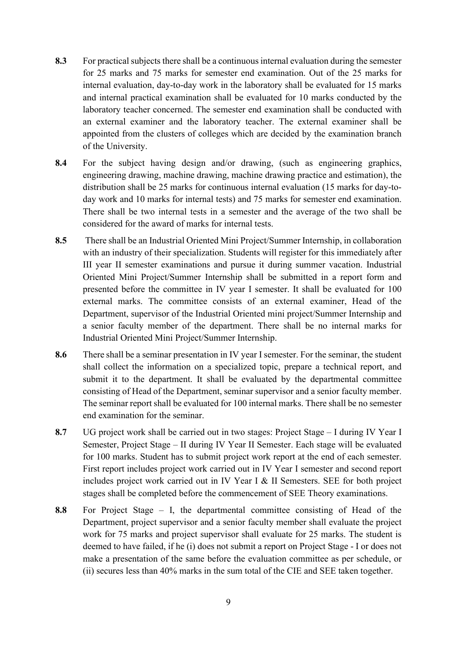- 8.3 For practical subjects there shall be a continuous internal evaluation during the semester for 25 marks and 75 marks for semester end examination. Out of the 25 marks for internal evaluation, day-to-day work in the laboratory shall be evaluated for 15 marks and internal practical examination shall be evaluated for 10 marks conducted by the laboratory teacher concerned. The semester end examination shall be conducted with an external examiner and the laboratory teacher. The external examiner shall be appointed from the clusters of colleges which are decided by the examination branch of the University.
- 8.4 For the subject having design and/or drawing, (such as engineering graphics, engineering drawing, machine drawing, machine drawing practice and estimation), the distribution shall be 25 marks for continuous internal evaluation (15 marks for day-today work and 10 marks for internal tests) and 75 marks for semester end examination. There shall be two internal tests in a semester and the average of the two shall be considered for the award of marks for internal tests.
- 8.5 There shall be an Industrial Oriented Mini Project/Summer Internship, in collaboration with an industry of their specialization. Students will register for this immediately after III year II semester examinations and pursue it during summer vacation. Industrial Oriented Mini Project/Summer Internship shall be submitted in a report form and presented before the committee in IV year I semester. It shall be evaluated for 100 external marks. The committee consists of an external examiner, Head of the Department, supervisor of the Industrial Oriented mini project/Summer Internship and a senior faculty member of the department. There shall be no internal marks for Industrial Oriented Mini Project/Summer Internship.
- 8.6 There shall be a seminar presentation in IV year I semester. For the seminar, the student shall collect the information on a specialized topic, prepare a technical report, and submit it to the department. It shall be evaluated by the departmental committee consisting of Head of the Department, seminar supervisor and a senior faculty member. The seminar report shall be evaluated for 100 internal marks. There shall be no semester end examination for the seminar.
- 8.7 UG project work shall be carried out in two stages: Project Stage I during IV Year I Semester, Project Stage – II during IV Year II Semester. Each stage will be evaluated for 100 marks. Student has to submit project work report at the end of each semester. First report includes project work carried out in IV Year I semester and second report includes project work carried out in IV Year I & II Semesters. SEE for both project stages shall be completed before the commencement of SEE Theory examinations.
- 8.8 For Project Stage I, the departmental committee consisting of Head of the Department, project supervisor and a senior faculty member shall evaluate the project work for 75 marks and project supervisor shall evaluate for 25 marks. The student is deemed to have failed, if he (i) does not submit a report on Project Stage - I or does not make a presentation of the same before the evaluation committee as per schedule, or (ii) secures less than 40% marks in the sum total of the CIE and SEE taken together.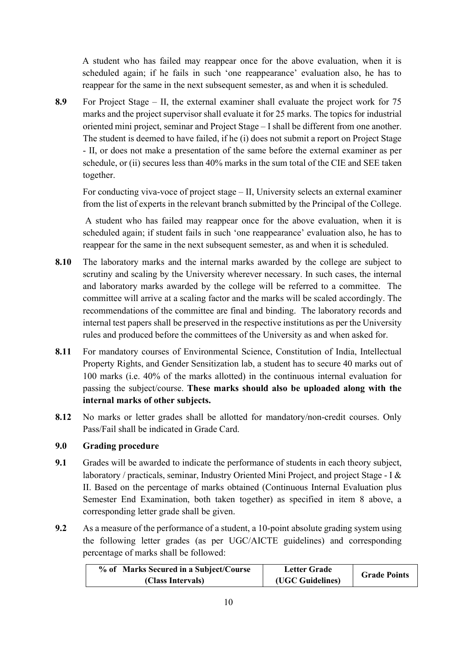A student who has failed may reappear once for the above evaluation, when it is scheduled again; if he fails in such 'one reappearance' evaluation also, he has to reappear for the same in the next subsequent semester, as and when it is scheduled.

8.9 For Project Stage – II, the external examiner shall evaluate the project work for 75 marks and the project supervisor shall evaluate it for 25 marks. The topics for industrial oriented mini project, seminar and Project Stage – I shall be different from one another. The student is deemed to have failed, if he (i) does not submit a report on Project Stage - II, or does not make a presentation of the same before the external examiner as per schedule, or (ii) secures less than 40% marks in the sum total of the CIE and SEE taken together.

For conducting viva-voce of project stage – II, University selects an external examiner from the list of experts in the relevant branch submitted by the Principal of the College.

 A student who has failed may reappear once for the above evaluation, when it is scheduled again; if student fails in such 'one reappearance' evaluation also, he has to reappear for the same in the next subsequent semester, as and when it is scheduled.

- 8.10 The laboratory marks and the internal marks awarded by the college are subject to scrutiny and scaling by the University wherever necessary. In such cases, the internal and laboratory marks awarded by the college will be referred to a committee. The committee will arrive at a scaling factor and the marks will be scaled accordingly. The recommendations of the committee are final and binding. The laboratory records and internal test papers shall be preserved in the respective institutions as per the University rules and produced before the committees of the University as and when asked for.
- 8.11 For mandatory courses of Environmental Science, Constitution of India, Intellectual Property Rights, and Gender Sensitization lab, a student has to secure 40 marks out of 100 marks (i.e. 40% of the marks allotted) in the continuous internal evaluation for passing the subject/course. These marks should also be uploaded along with the internal marks of other subjects.
- 8.12 No marks or letter grades shall be allotted for mandatory/non-credit courses. Only Pass/Fail shall be indicated in Grade Card.

### 9.0 Grading procedure

- 9.1 Grades will be awarded to indicate the performance of students in each theory subject, laboratory / practicals, seminar, Industry Oriented Mini Project, and project Stage - I & II. Based on the percentage of marks obtained (Continuous Internal Evaluation plus Semester End Examination, both taken together) as specified in item 8 above, a corresponding letter grade shall be given.
- 9.2 As a measure of the performance of a student, a 10-point absolute grading system using the following letter grades (as per UGC/AICTE guidelines) and corresponding percentage of marks shall be followed:

| % of Marks Secured in a Subject/Course | <b>Letter Grade</b> | <b>Grade Points</b> |
|----------------------------------------|---------------------|---------------------|
| (Class Intervals)                      | (UGC Guidelines)    |                     |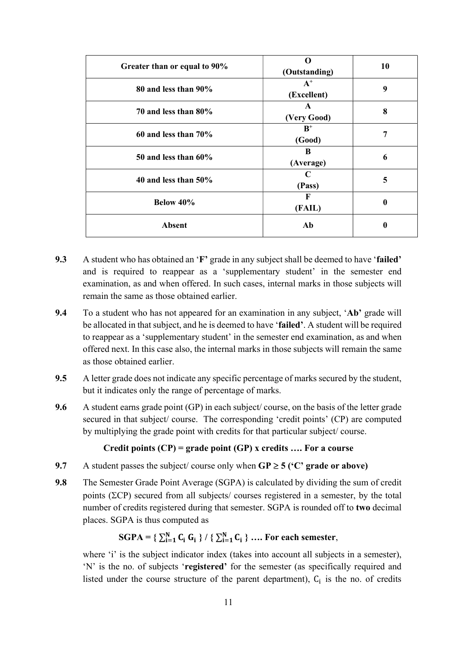| Greater than or equal to 90% | 0<br>(Outstanding)          | 10               |
|------------------------------|-----------------------------|------------------|
| 80 and less than 90%         | $A^+$<br>(Excellent)        | 9                |
| 70 and less than 80%         | $\mathbf{A}$<br>(Very Good) | 8                |
| 60 and less than $70\%$      | $B^+$<br>(Good)             | 7                |
| $50$ and less than $60\%$    | B<br>(Average)              | 6                |
| 40 and less than $50\%$      | C<br>(Pass)                 | 5                |
| Below 40%                    | F<br>(FAIL)                 | $\boldsymbol{0}$ |
| <b>Absent</b>                | Ab                          | $\bf{0}$         |

- 9.3 A student who has obtained an 'F' grade in any subject shall be deemed to have 'failed' and is required to reappear as a 'supplementary student' in the semester end examination, as and when offered. In such cases, internal marks in those subjects will remain the same as those obtained earlier.
- 9.4 To a student who has not appeared for an examination in any subject, 'Ab' grade will be allocated in that subject, and he is deemed to have 'failed'. A student will be required to reappear as a 'supplementary student' in the semester end examination, as and when offered next. In this case also, the internal marks in those subjects will remain the same as those obtained earlier.
- 9.5 A letter grade does not indicate any specific percentage of marks secured by the student, but it indicates only the range of percentage of marks.
- 9.6 A student earns grade point (GP) in each subject/ course, on the basis of the letter grade secured in that subject/ course. The corresponding 'credit points' (CP) are computed by multiplying the grade point with credits for that particular subject/ course.

### Credit points  $(CP)$  = grade point  $(GP)$  x credits .... For a course

- 9.7 A student passes the subject/ course only when  $\text{GP} \geq 5$  ( $\text{°C}$ ) grade or above)
- 9.8 The Semester Grade Point Average (SGPA) is calculated by dividing the sum of credit points ( $\Sigma$ CP) secured from all subjects/ courses registered in a semester, by the total number of credits registered during that semester. SGPA is rounded off to two decimal places. SGPA is thus computed as

## $SGPA = \{ \sum_{i=1}^{N} C_i \ G_i \} / \{ \sum_{i=1}^{N} C_i \} \ ...$  For each semester,

where 'i' is the subject indicator index (takes into account all subjects in a semester), 'N' is the no. of subjects 'registered' for the semester (as specifically required and listed under the course structure of the parent department),  $C_i$  is the no. of credits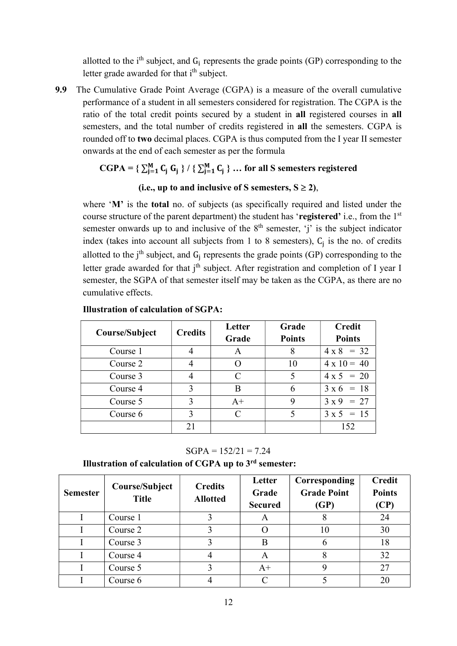allotted to the  $i<sup>th</sup>$  subject, and  $G_i$  represents the grade points (GP) corresponding to the letter grade awarded for that i<sup>th</sup> subject.

9.9 The Cumulative Grade Point Average (CGPA) is a measure of the overall cumulative performance of a student in all semesters considered for registration. The CGPA is the ratio of the total credit points secured by a student in all registered courses in all semesters, and the total number of credits registered in all the semesters. CGPA is rounded off to two decimal places. CGPA is thus computed from the I year II semester onwards at the end of each semester as per the formula

## $CGPA = \{ \sum_{j=1}^{M} C_j G_j \} / \{ \sum_{j=1}^{M} C_j \} ...$  for all S semesters registered

### (i.e., up to and inclusive of S semesters,  $S \ge 2$ ),

where 'M' is the **total** no. of subjects (as specifically required and listed under the course structure of the parent department) the student has 'registered' i.e., from the 1<sup>st</sup> semester onwards up to and inclusive of the  $8<sup>th</sup>$  semester, 'j' is the subject indicator index (takes into account all subjects from 1 to 8 semesters),  $C_j$  is the no. of credits allotted to the j<sup>th</sup> subject, and  $G_j$  represents the grade points (GP) corresponding to the letter grade awarded for that  $j<sup>th</sup>$  subject. After registration and completion of I year I semester, the SGPA of that semester itself may be taken as the CGPA, as there are no cumulative effects.

|                | <b>Credits</b> | Letter                      | Grade         | <b>Credit</b>      |
|----------------|----------------|-----------------------------|---------------|--------------------|
| Course/Subject |                | Grade                       | <b>Points</b> | <b>Points</b>      |
| Course 1       |                |                             | 8             | $4 \times 8 = 32$  |
| Course 2       |                |                             | 10            | $4 \times 10 = 40$ |
| Course 3       |                | $\mathcal{C}_{\mathcal{C}}$ | 5             | $4 \times 5 = 20$  |
| Course 4       | 3              | R                           | 6             | $3 \times 6 = 18$  |
| Course 5       | 3              | $A+$                        | 9             | $3 \times 9 = 27$  |
| Course 6       | ζ              |                             |               | $3 \times 5 = 15$  |
|                | 21             |                             |               | 152                |

Illustration of calculation of SGPA:

 $SGPA = 152/21 = 7.24$ 

Illustration of calculation of CGPA up to 3rd semester:

| <b>Semester</b> | Course/Subject<br><b>Title</b> | <b>Credits</b><br><b>Allotted</b> | Letter<br>Grade<br><b>Secured</b> | Corresponding<br><b>Grade Point</b><br>(GP) | <b>Credit</b><br><b>Points</b><br>(CP) |
|-----------------|--------------------------------|-----------------------------------|-----------------------------------|---------------------------------------------|----------------------------------------|
|                 | Course 1                       |                                   | A                                 |                                             | 24                                     |
|                 | Course 2                       |                                   |                                   | 10                                          | 30                                     |
|                 | Course 3                       |                                   | B                                 |                                             | 18                                     |
|                 | Course 4                       |                                   | A                                 |                                             | 32                                     |
|                 | Course 5                       |                                   | $A+$                              |                                             | 27                                     |
|                 | Course 6                       |                                   | $\cap$                            |                                             | 20                                     |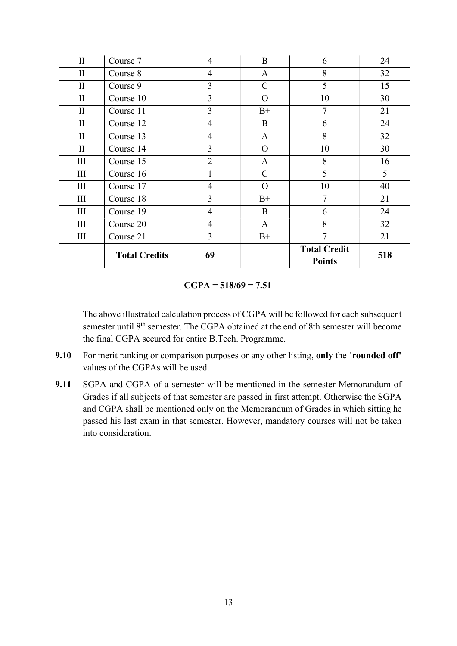| $\mathbf{I}$ | Course 7             | $\overline{4}$ | B              | 6                                    | 24  |
|--------------|----------------------|----------------|----------------|--------------------------------------|-----|
| $\mathbf{I}$ | Course 8             | $\overline{4}$ | $\mathbf{A}$   | 8                                    | 32  |
| $\mathbf{I}$ | Course 9             | 3              | $\mathcal{C}$  | 5                                    | 15  |
| $\rm II$     | Course 10            | $\overline{3}$ | $\overline{O}$ | 10                                   | 30  |
| $\mathbf{I}$ | Course 11            | 3              | $B+$           | 7                                    | 21  |
| $\mathbf{I}$ | Course 12            | $\overline{4}$ | $\bf{B}$       | 6                                    | 24  |
| $\mathbf{I}$ | Course 13            | $\overline{4}$ | $\mathbf{A}$   | 8                                    | 32  |
| $\mathbf{I}$ | Course 14            | 3              | $\overline{O}$ | 10                                   | 30  |
| Ш            | Course 15            | $\overline{2}$ | $\mathbf{A}$   | 8                                    | 16  |
| III          | Course 16            |                | $\mathcal{C}$  | 5                                    | 5   |
| III          | Course 17            | $\overline{4}$ | $\mathcal{O}$  | 10                                   | 40  |
| Ш            | Course 18            | 3              | $B+$           | 7                                    | 21  |
| III          | Course 19            | $\overline{4}$ | B              | 6                                    | 24  |
| Ш            | Course 20            | $\overline{4}$ | $\mathbf{A}$   | 8                                    | 32  |
| III          | Course 21            | 3              | $B+$           | $\overline{7}$                       | 21  |
|              | <b>Total Credits</b> | 69             |                | <b>Total Credit</b><br><b>Points</b> | 518 |

#### $CGPA = 518/69 = 7.51$

 The above illustrated calculation process of CGPA will be followed for each subsequent semester until 8<sup>th</sup> semester. The CGPA obtained at the end of 8th semester will become the final CGPA secured for entire B.Tech. Programme.

- 9.10 For merit ranking or comparison purposes or any other listing, only the 'rounded off' values of the CGPAs will be used.
- 9.11 SGPA and CGPA of a semester will be mentioned in the semester Memorandum of Grades if all subjects of that semester are passed in first attempt. Otherwise the SGPA and CGPA shall be mentioned only on the Memorandum of Grades in which sitting he passed his last exam in that semester. However, mandatory courses will not be taken into consideration.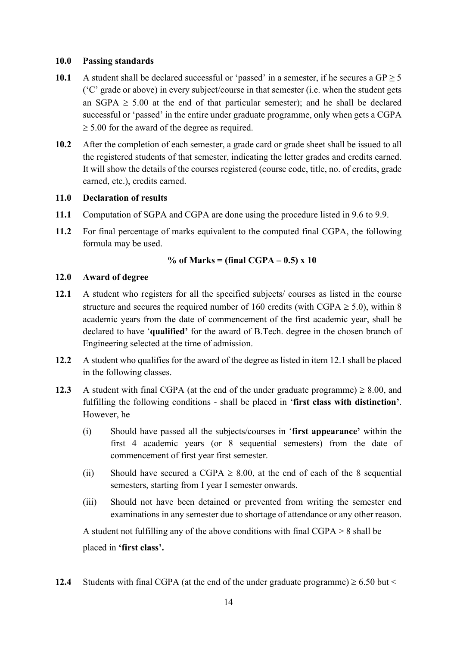#### 10.0 Passing standards

- 10.1 A student shall be declared successful or 'passed' in a semester, if he secures a  $GP \ge 5$ ('C' grade or above) in every subject/course in that semester (i.e. when the student gets an SGPA  $\geq$  5.00 at the end of that particular semester); and he shall be declared successful or 'passed' in the entire under graduate programme, only when gets a CGPA  $\geq$  5.00 for the award of the degree as required.
- 10.2 After the completion of each semester, a grade card or grade sheet shall be issued to all the registered students of that semester, indicating the letter grades and credits earned. It will show the details of the courses registered (course code, title, no. of credits, grade earned, etc.), credits earned.

### 11.0 Declaration of results

- 11.1 Computation of SGPA and CGPA are done using the procedure listed in 9.6 to 9.9.
- 11.2 For final percentage of marks equivalent to the computed final CGPA, the following formula may be used.

% of Marks = (final CGPA  $-0.5$ ) x 10

#### 12.0 Award of degree

- 12.1 A student who registers for all the specified subjects/ courses as listed in the course structure and secures the required number of 160 credits (with CGPA  $\geq$  5.0), within 8 academic years from the date of commencement of the first academic year, shall be declared to have 'qualified' for the award of B.Tech. degree in the chosen branch of Engineering selected at the time of admission.
- 12.2 A student who qualifies for the award of the degree as listed in item 12.1 shall be placed in the following classes.
- 12.3 A student with final CGPA (at the end of the under graduate programme)  $\geq 8.00$ , and fulfilling the following conditions - shall be placed in 'first class with distinction'. However, he
	- (i) Should have passed all the subjects/courses in 'first appearance' within the first 4 academic years (or 8 sequential semesters) from the date of commencement of first year first semester.
	- (ii) Should have secured a CGPA  $\geq$  8.00, at the end of each of the 8 sequential semesters, starting from I year I semester onwards.
	- (iii) Should not have been detained or prevented from writing the semester end examinations in any semester due to shortage of attendance or any other reason.

A student not fulfilling any of the above conditions with final CGPA > 8 shall be placed in 'first class'.

12.4 Students with final CGPA (at the end of the under graduate programme)  $\geq 6.50$  but  $\leq$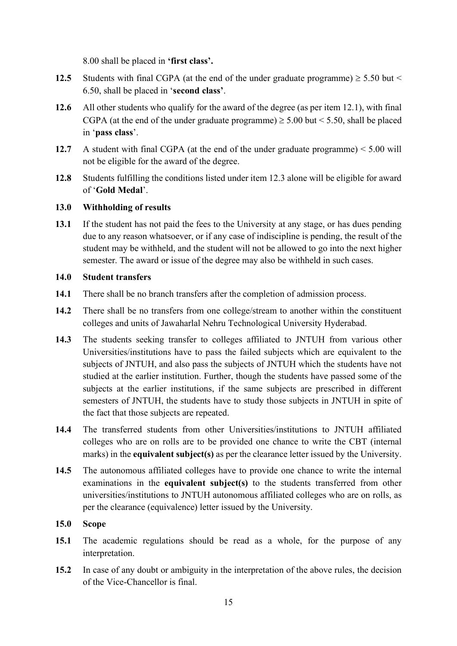8.00 shall be placed in 'first class'.

- 12.5 Students with final CGPA (at the end of the under graduate programme)  $\geq$  5.50 but  $\leq$ 6.50, shall be placed in 'second class'.
- 12.6 All other students who qualify for the award of the degree (as per item 12.1), with final CGPA (at the end of the under graduate programme)  $\geq$  5.00 but < 5.50, shall be placed in 'pass class'.
- 12.7 A student with final CGPA (at the end of the under graduate programme) < 5.00 will not be eligible for the award of the degree.
- 12.8 Students fulfilling the conditions listed under item 12.3 alone will be eligible for award of 'Gold Medal'.

### 13.0 Withholding of results

13.1 If the student has not paid the fees to the University at any stage, or has dues pending due to any reason whatsoever, or if any case of indiscipline is pending, the result of the student may be withheld, and the student will not be allowed to go into the next higher semester. The award or issue of the degree may also be withheld in such cases.

### 14.0 Student transfers

- 14.1 There shall be no branch transfers after the completion of admission process.
- 14.2 There shall be no transfers from one college/stream to another within the constituent colleges and units of Jawaharlal Nehru Technological University Hyderabad.
- 14.3 The students seeking transfer to colleges affiliated to JNTUH from various other Universities/institutions have to pass the failed subjects which are equivalent to the subjects of JNTUH, and also pass the subjects of JNTUH which the students have not studied at the earlier institution. Further, though the students have passed some of the subjects at the earlier institutions, if the same subjects are prescribed in different semesters of JNTUH, the students have to study those subjects in JNTUH in spite of the fact that those subjects are repeated.
- 14.4 The transferred students from other Universities/institutions to JNTUH affiliated colleges who are on rolls are to be provided one chance to write the CBT (internal marks) in the **equivalent subject(s)** as per the clearance letter issued by the University.
- 14.5 The autonomous affiliated colleges have to provide one chance to write the internal examinations in the equivalent subject(s) to the students transferred from other universities/institutions to JNTUH autonomous affiliated colleges who are on rolls, as per the clearance (equivalence) letter issued by the University.

### 15.0 Scope

- 15.1 The academic regulations should be read as a whole, for the purpose of any interpretation.
- 15.2 In case of any doubt or ambiguity in the interpretation of the above rules, the decision of the Vice-Chancellor is final.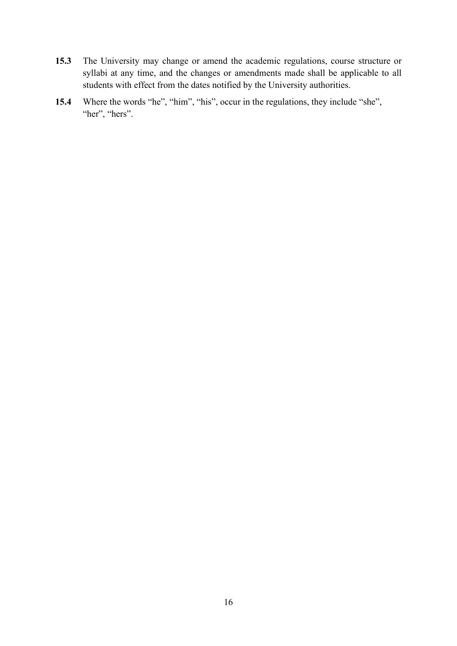- 15.3 The University may change or amend the academic regulations, course structure or syllabi at any time, and the changes or amendments made shall be applicable to all students with effect from the dates notified by the University authorities.
- 15.4 Where the words "he", "him", "his", occur in the regulations, they include "she", "her", "hers".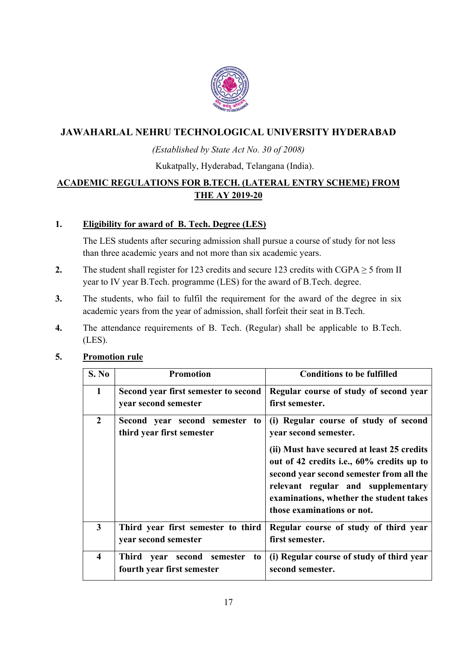

## JAWAHARLAL NEHRU TECHNOLOGICAL UNIVERSITY HYDERABAD

### (Established by State Act No. 30 of 2008)

Kukatpally, Hyderabad, Telangana (India).

## ACADEMIC REGULATIONS FOR B.TECH. (LATERAL ENTRY SCHEME) FROM THE AY 2019-20

### 1. Eligibility for award of B. Tech. Degree (LES)

 The LES students after securing admission shall pursue a course of study for not less than three academic years and not more than six academic years.

- 2. The student shall register for 123 credits and secure 123 credits with CGPA  $\geq$  5 from II year to IV year B.Tech. programme (LES) for the award of B.Tech. degree.
- 3. The students, who fail to fulfil the requirement for the award of the degree in six academic years from the year of admission, shall forfeit their seat in B.Tech.
- 4. The attendance requirements of B. Tech. (Regular) shall be applicable to B.Tech. (LES).

### 5. Promotion rule

| S. No                   | <b>Promotion</b>                                                  | <b>Conditions to be fulfilled</b>                                                                                                                                                                                                                                                                                    |
|-------------------------|-------------------------------------------------------------------|----------------------------------------------------------------------------------------------------------------------------------------------------------------------------------------------------------------------------------------------------------------------------------------------------------------------|
| $\mathbf{1}$            | Second year first semester to second<br>year second semester      | Regular course of study of second year<br>first semester.                                                                                                                                                                                                                                                            |
| $\overline{2}$          | Second year second semester<br>to<br>third year first semester    | (i) Regular course of study of second<br>year second semester.<br>(ii) Must have secured at least 25 credits<br>out of 42 credits i.e., 60% credits up to<br>second year second semester from all the<br>relevant regular and supplementary<br>examinations, whether the student takes<br>those examinations or not. |
| $\overline{\mathbf{3}}$ | Third year first semester to third<br>year second semester        | Regular course of study of third year<br>first semester.                                                                                                                                                                                                                                                             |
| $\overline{\mathbf{4}}$ | Third year second<br>semester<br>to<br>fourth year first semester | (i) Regular course of study of third year<br>second semester.                                                                                                                                                                                                                                                        |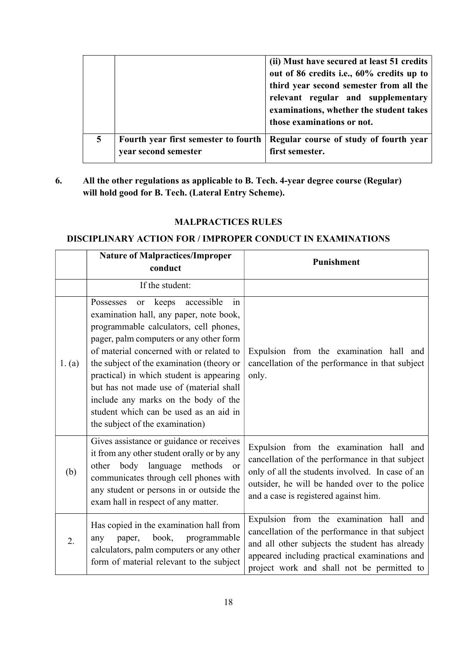|   |                                                              | (ii) Must have secured at least 51 credits<br>out of 86 credits i.e., 60% credits up to<br>third year second semester from all the<br>relevant regular and supplementary<br>examinations, whether the student takes<br>those examinations or not. |
|---|--------------------------------------------------------------|---------------------------------------------------------------------------------------------------------------------------------------------------------------------------------------------------------------------------------------------------|
| 5 | Fourth year first semester to fourth<br>year second semester | Regular course of study of fourth year<br>first semester.                                                                                                                                                                                         |

6. All the other regulations as applicable to B. Tech. 4-year degree course (Regular) will hold good for B. Tech. (Lateral Entry Scheme).

### MALPRACTICES RULES

#### DISCIPLINARY ACTION FOR / IMPROPER CONDUCT IN EXAMINATIONS

|        | <b>Nature of Malpractices/Improper</b><br>conduct                                                                                                                                                                                                                                                                                                                                                                                                                              | <b>Punishment</b>                                                                                                                                                                                                                           |
|--------|--------------------------------------------------------------------------------------------------------------------------------------------------------------------------------------------------------------------------------------------------------------------------------------------------------------------------------------------------------------------------------------------------------------------------------------------------------------------------------|---------------------------------------------------------------------------------------------------------------------------------------------------------------------------------------------------------------------------------------------|
|        | If the student:                                                                                                                                                                                                                                                                                                                                                                                                                                                                |                                                                                                                                                                                                                                             |
| 1. (a) | Possesses<br>keeps accessible<br>in<br>or<br>examination hall, any paper, note book,<br>programmable calculators, cell phones,<br>pager, palm computers or any other form<br>of material concerned with or related to<br>the subject of the examination (theory or<br>practical) in which student is appearing<br>but has not made use of (material shall<br>include any marks on the body of the<br>student which can be used as an aid in<br>the subject of the examination) | Expulsion from the examination hall and<br>cancellation of the performance in that subject<br>only.                                                                                                                                         |
| (b)    | Gives assistance or guidance or receives<br>it from any other student orally or by any<br>body language<br>methods<br>other<br><b>or</b><br>communicates through cell phones with<br>any student or persons in or outside the<br>exam hall in respect of any matter.                                                                                                                                                                                                           | Expulsion from the examination hall and<br>cancellation of the performance in that subject<br>only of all the students involved. In case of an<br>outsider, he will be handed over to the police<br>and a case is registered against him.   |
| 2.     | Has copied in the examination hall from<br>book,<br>programmable<br>paper,<br>any<br>calculators, palm computers or any other<br>form of material relevant to the subject                                                                                                                                                                                                                                                                                                      | Expulsion from the examination hall and<br>cancellation of the performance in that subject<br>and all other subjects the student has already<br>appeared including practical examinations and<br>project work and shall not be permitted to |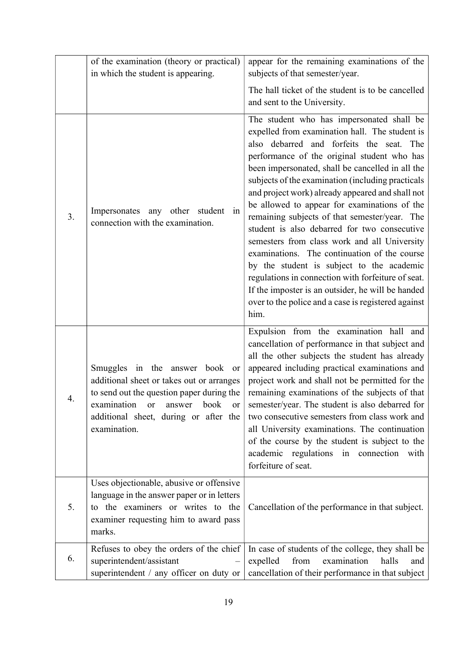|    | of the examination (theory or practical)<br>in which the student is appearing.                                                                                                                                                 | appear for the remaining examinations of the<br>subjects of that semester/year.                                                                                                                                                                                                                                                                                                                                                                                                                                                                                                                                                                                                                                                                                                                                             |
|----|--------------------------------------------------------------------------------------------------------------------------------------------------------------------------------------------------------------------------------|-----------------------------------------------------------------------------------------------------------------------------------------------------------------------------------------------------------------------------------------------------------------------------------------------------------------------------------------------------------------------------------------------------------------------------------------------------------------------------------------------------------------------------------------------------------------------------------------------------------------------------------------------------------------------------------------------------------------------------------------------------------------------------------------------------------------------------|
|    |                                                                                                                                                                                                                                | The hall ticket of the student is to be cancelled<br>and sent to the University.                                                                                                                                                                                                                                                                                                                                                                                                                                                                                                                                                                                                                                                                                                                                            |
| 3. | Impersonates any other<br>student<br>in<br>connection with the examination.                                                                                                                                                    | The student who has impersonated shall be<br>expelled from examination hall. The student is<br>also debarred and forfeits the seat. The<br>performance of the original student who has<br>been impersonated, shall be cancelled in all the<br>subjects of the examination (including practicals<br>and project work) already appeared and shall not<br>be allowed to appear for examinations of the<br>remaining subjects of that semester/year. The<br>student is also debarred for two consecutive<br>semesters from class work and all University<br>examinations. The continuation of the course<br>by the student is subject to the academic<br>regulations in connection with forfeiture of seat.<br>If the imposter is an outsider, he will be handed<br>over to the police and a case is registered against<br>him. |
| 4. | Smuggles in the answer book or<br>additional sheet or takes out or arranges<br>to send out the question paper during the<br>examination<br>book<br>or<br>answer<br>or<br>additional sheet, during or after the<br>examination. | Expulsion from the examination hall and<br>cancellation of performance in that subject and<br>all the other subjects the student has already<br>appeared including practical examinations and<br>project work and shall not be permitted for the<br>remaining examinations of the subjects of that<br>semester/year. The student is also debarred for<br>two consecutive semesters from class work and<br>all University examinations. The continuation<br>of the course by the student is subject to the<br>academic regulations in connection with<br>forfeiture of seat.                                                                                                                                                                                                                                                 |
| 5. | Uses objectionable, abusive or offensive<br>language in the answer paper or in letters<br>to the examiners or writes to the<br>examiner requesting him to award pass<br>marks.                                                 | Cancellation of the performance in that subject.                                                                                                                                                                                                                                                                                                                                                                                                                                                                                                                                                                                                                                                                                                                                                                            |
| 6. | Refuses to obey the orders of the chief<br>superintendent/assistant<br>superintendent / any officer on duty or                                                                                                                 | In case of students of the college, they shall be<br>from<br>examination<br>expelled<br>halls<br>and<br>cancellation of their performance in that subject                                                                                                                                                                                                                                                                                                                                                                                                                                                                                                                                                                                                                                                                   |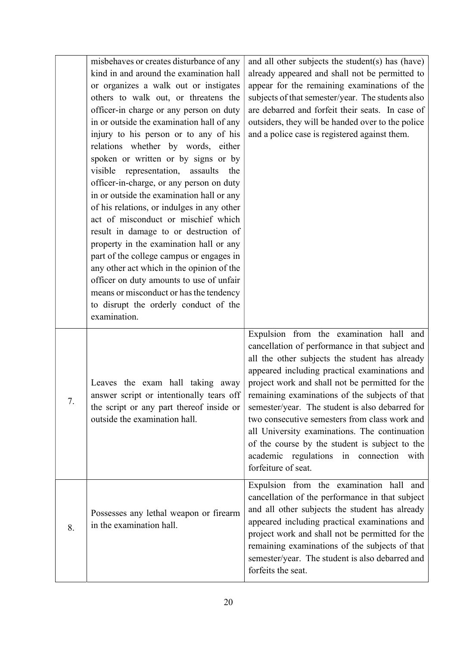|    | misbehaves or creates disturbance of any<br>kind in and around the examination hall<br>or organizes a walk out or instigates<br>others to walk out, or threatens the<br>officer-in charge or any person on duty<br>in or outside the examination hall of any<br>injury to his person or to any of his<br>relations whether by words, either<br>spoken or written or by signs or by<br>visible<br>representation, assaults<br>the<br>officer-in-charge, or any person on duty<br>in or outside the examination hall or any<br>of his relations, or indulges in any other<br>act of misconduct or mischief which<br>result in damage to or destruction of<br>property in the examination hall or any<br>part of the college campus or engages in<br>any other act which in the opinion of the<br>officer on duty amounts to use of unfair<br>means or misconduct or has the tendency | and all other subjects the student(s) has (have)<br>already appeared and shall not be permitted to<br>appear for the remaining examinations of the<br>subjects of that semester/year. The students also<br>are debarred and forfeit their seats. In case of<br>outsiders, they will be handed over to the police<br>and a police case is registered against them.                                                                                                                                                                                                              |
|----|------------------------------------------------------------------------------------------------------------------------------------------------------------------------------------------------------------------------------------------------------------------------------------------------------------------------------------------------------------------------------------------------------------------------------------------------------------------------------------------------------------------------------------------------------------------------------------------------------------------------------------------------------------------------------------------------------------------------------------------------------------------------------------------------------------------------------------------------------------------------------------|--------------------------------------------------------------------------------------------------------------------------------------------------------------------------------------------------------------------------------------------------------------------------------------------------------------------------------------------------------------------------------------------------------------------------------------------------------------------------------------------------------------------------------------------------------------------------------|
|    | to disrupt the orderly conduct of the<br>examination.                                                                                                                                                                                                                                                                                                                                                                                                                                                                                                                                                                                                                                                                                                                                                                                                                              |                                                                                                                                                                                                                                                                                                                                                                                                                                                                                                                                                                                |
| 7. | Leaves the exam hall taking away<br>answer script or intentionally tears off<br>the script or any part thereof inside or<br>outside the examination hall.                                                                                                                                                                                                                                                                                                                                                                                                                                                                                                                                                                                                                                                                                                                          | Expulsion from the examination hall<br>and<br>cancellation of performance in that subject and<br>all the other subjects the student has already<br>appeared including practical examinations and<br>project work and shall not be permitted for the<br>remaining examinations of the subjects of that<br>semester/year. The student is also debarred for<br>two consecutive semesters from class work and<br>all University examinations. The continuation<br>of the course by the student is subject to the<br>academic regulations in connection with<br>forfeiture of seat. |
| 8. | Possesses any lethal weapon or firearm<br>in the examination hall.                                                                                                                                                                                                                                                                                                                                                                                                                                                                                                                                                                                                                                                                                                                                                                                                                 | Expulsion from the examination hall and<br>cancellation of the performance in that subject<br>and all other subjects the student has already<br>appeared including practical examinations and<br>project work and shall not be permitted for the<br>remaining examinations of the subjects of that<br>semester/year. The student is also debarred and<br>forfeits the seat.                                                                                                                                                                                                    |